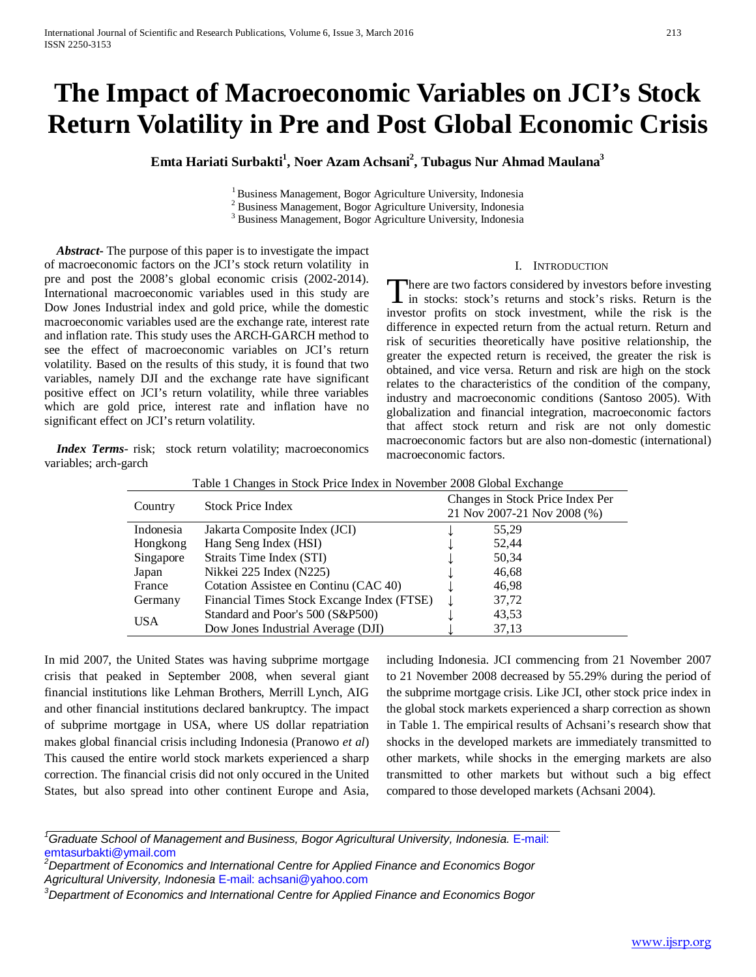# **The Impact of Macroeconomic Variables on JCI's Stock Return Volatility in Pre and Post Global Economic Crisis**

 $\boldsymbol{\mathrm{E}}$ mta Hariati Surbakti<sup>1</sup>, Noer Azam Achsani<sup>2</sup>, Tubagus Nur Ahmad Maulana<sup>3</sup>

<sup>1</sup> Business Management, Bogor Agriculture University, Indonesia<br><sup>2</sup> Business Management, Bogor Agriculture University, Indonesia<br><sup>3</sup> Business Management, Bogor Agriculture University, Indonesia

 *Abstract***-** The purpose of this paper is to investigate the impact of macroeconomic factors on the JCI's stock return volatility in pre and post the 2008's global economic crisis (2002-2014). International macroeconomic variables used in this study are Dow Jones Industrial index and gold price, while the domestic macroeconomic variables used are the exchange rate, interest rate and inflation rate. This study uses the ARCH-GARCH method to see the effect of macroeconomic variables on JCI's return volatility. Based on the results of this study, it is found that two variables, namely DJI and the exchange rate have significant positive effect on JCI's return volatility, while three variables which are gold price, interest rate and inflation have no significant effect on JCI's return volatility.

*Index Terms-* risk; stock return volatility; macroeconomics variables; arch-garch

# I. INTRODUCTION

There are two factors considered by investors before investing<br>in stocks: stock's returns and stock's risks. Return is the **1** in stocks: stock's returns and stock's risks. Return is the investor profits on stock investment, while the risk is the difference in expected return from the actual return. Return and risk of securities theoretically have positive relationship, the greater the expected return is received, the greater the risk is obtained, and vice versa. Return and risk are high on the stock relates to the characteristics of the condition of the company, industry and macroeconomic conditions (Santoso 2005). With globalization and financial integration, macroeconomic factors that affect stock return and risk are not only domestic macroeconomic factors but are also non-domestic (international) macroeconomic factors.

| Country    | <b>Stock Price Index</b>                   | Changes in Stock Price Index Per<br>21 Nov 2007-21 Nov 2008 (%) |
|------------|--------------------------------------------|-----------------------------------------------------------------|
| Indonesia  | Jakarta Composite Index (JCI)              | 55,29                                                           |
| Hongkong   | Hang Seng Index (HSI)                      | 52,44                                                           |
| Singapore  | Straits Time Index (STI)                   | 50,34                                                           |
| Japan      | Nikkei 225 Index (N225)                    | 46,68                                                           |
| France     | Cotation Assistee en Continu (CAC 40)      | 46,98                                                           |
| Germany    | Financial Times Stock Excange Index (FTSE) | 37,72                                                           |
| <b>USA</b> | Standard and Poor's 500 (S&P500)           | 43,53                                                           |
|            | Dow Jones Industrial Average (DJI)         | 37,13                                                           |

Table 1 Changes in Stock Price Index in November 2008 Global Exchange

In mid 2007, the United States was having subprime mortgage crisis that peaked in September 2008, when several giant financial institutions like Lehman Brothers, Merrill Lynch, AIG and other financial institutions declared bankruptcy. The impact of subprime mortgage in USA, where US dollar repatriation makes global financial crisis including Indonesia (Pranowo *et al*) This caused the entire world stock markets experienced a sharp correction. The financial crisis did not only occured in the United States, but also spread into other continent Europe and Asia,

including Indonesia. JCI commencing from 21 November 2007 to 21 November 2008 decreased by 55.29% during the period of the subprime mortgage crisis. Like JCI, other stock price index in the global stock markets experienced a sharp correction as shown in Table 1. The empirical results of Achsani's research show that shocks in the developed markets are immediately transmitted to other markets, while shocks in the emerging markets are also transmitted to other markets but without such a big effect compared to those developed markets (Achsani 2004).

<sup>7</sup> Graduate School of Management and Business, Bogor Agricultural University, Indonesia. E-mail: emtasurbakti@ymail.com

*<sup>2</sup> Department of Economics and International Centre for Applied Finance and Economics Bogor Agricultural University, Indonesia* E-mail: achsani@yahoo.com

*<sup>3</sup> Department of Economics and International Centre for Applied Finance and Economics Bogor*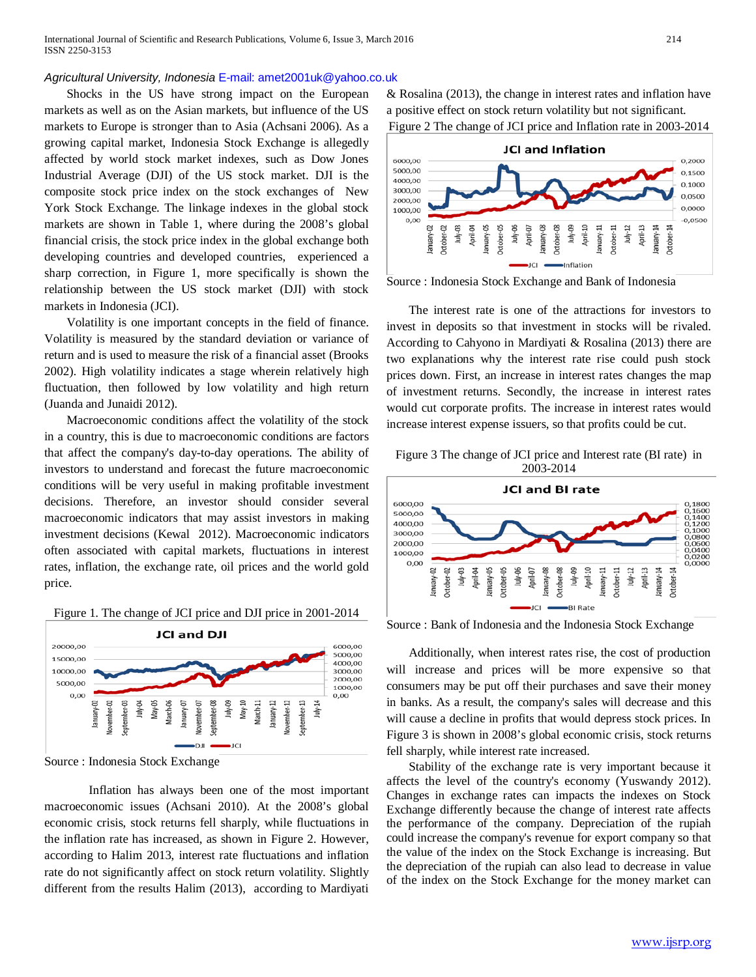International Journal of Scientific and Research Publications, Volume 6, Issue 3, March 2016 214 ISSN 2250-3153

#### *Agricultural University, Indonesia* E-mail: amet2001uk@yahoo.co.uk

Shocks in the US have strong impact on the European markets as well as on the Asian markets, but influence of the US markets to Europe is stronger than to Asia (Achsani 2006). As a growing capital market, Indonesia Stock Exchange is allegedly affected by world stock market indexes, such as Dow Jones Industrial Average (DJI) of the US stock market. DJI is the composite stock price index on the stock exchanges of New York Stock Exchange. The linkage indexes in the global stock markets are shown in Table 1, where during the 2008's global financial crisis, the stock price index in the global exchange both developing countries and developed countries, experienced a sharp correction, in Figure 1, more specifically is shown the relationship between the US stock market (DJI) with stock markets in Indonesia (JCI).

Volatility is one important concepts in the field of finance. Volatility is measured by the standard deviation or variance of return and is used to measure the risk of a financial asset (Brooks 2002). High volatility indicates a stage wherein relatively high fluctuation, then followed by low volatility and high return (Juanda and Junaidi 2012).

Macroeconomic conditions affect the volatility of the stock in a country, this is due to macroeconomic conditions are factors that affect the company's day-to-day operations. The ability of investors to understand and forecast the future macroeconomic conditions will be very useful in making profitable investment decisions. Therefore, an investor should consider several macroeconomic indicators that may assist investors in making investment decisions (Kewal 2012). Macroeconomic indicators often associated with capital markets, fluctuations in interest rates, inflation, the exchange rate, oil prices and the world gold price.





Source : Indonesia Stock Exchange

Inflation has always been one of the most important macroeconomic issues (Achsani 2010). At the 2008's global economic crisis, stock returns fell sharply, while fluctuations in the inflation rate has increased, as shown in Figure 2. However, according to Halim 2013, interest rate fluctuations and inflation rate do not significantly affect on stock return volatility. Slightly different from the results Halim (2013), according to Mardiyati

& Rosalina (2013), the change in interest rates and inflation have a positive effect on stock return volatility but not significant.





Source : Indonesia Stock Exchange and Bank of Indonesia

The interest rate is one of the attractions for investors to invest in deposits so that investment in stocks will be rivaled. According to Cahyono in Mardiyati & Rosalina (2013) there are two explanations why the interest rate rise could push stock prices down. First, an increase in interest rates changes the map of investment returns. Secondly, the increase in interest rates would cut corporate profits. The increase in interest rates would increase interest expense issuers, so that profits could be cut.





Source : Bank of Indonesia and the Indonesia Stock Exchange

Additionally, when interest rates rise, the cost of production will increase and prices will be more expensive so that consumers may be put off their purchases and save their money in banks. As a result, the company's sales will decrease and this will cause a decline in profits that would depress stock prices. In Figure 3 is shown in 2008's global economic crisis, stock returns fell sharply, while interest rate increased.

Stability of the exchange rate is very important because it affects the level of the country's economy (Yuswandy 2012). Changes in exchange rates can impacts the indexes on Stock Exchange differently because the change of interest rate affects the performance of the company. Depreciation of the rupiah could increase the company's revenue for export company so that the value of the index on the Stock Exchange is increasing. But the depreciation of the rupiah can also lead to decrease in value of the index on the Stock Exchange for the money market can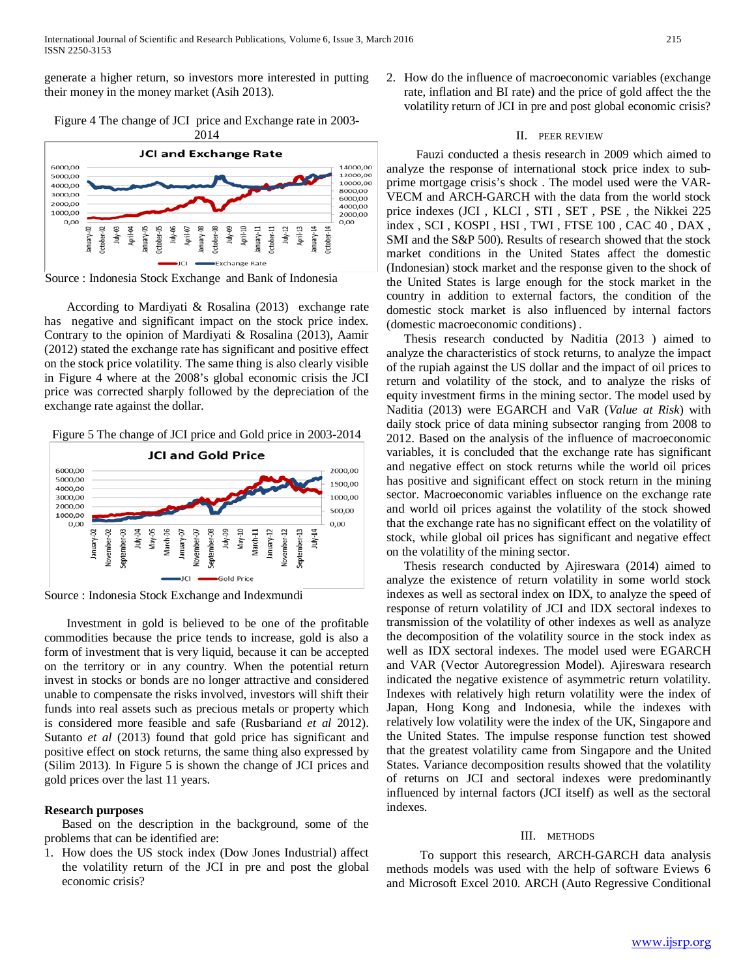generate a higher return, so investors more interested in putting their money in the money market (Asih 2013).

Figure 4 The change of JCI price and Exchange rate in 2003- 2014



Source : Indonesia Stock Exchange and Bank of Indonesia

According to Mardiyati & Rosalina (2013) exchange rate has negative and significant impact on the stock price index. Contrary to the opinion of Mardiyati & Rosalina (2013), Aamir (2012) stated the exchange rate has significant and positive effect on the stock price volatility. The same thing is also clearly visible in Figure 4 where at the 2008's global economic crisis the JCI price was corrected sharply followed by the depreciation of the exchange rate against the dollar.

Figure 5 The change of JCI price and Gold price in 2003-2014



Source : Indonesia Stock Exchange and Indexmundi

Investment in gold is believed to be one of the profitable commodities because the price tends to increase, gold is also a form of investment that is very liquid, because it can be accepted on the territory or in any country. When the potential return invest in stocks or bonds are no longer attractive and considered unable to compensate the risks involved, investors will shift their funds into real assets such as precious metals or property which is considered more feasible and safe (Rusbariand *et al* 2012). Sutanto *et al* (2013) found that gold price has significant and positive effect on stock returns, the same thing also expressed by (Silim 2013). In Figure 5 is shown the change of JCI prices and gold prices over the last 11 years.

# **Research purposes**

Based on the description in the background, some of the problems that can be identified are:

1. How does the US stock index (Dow Jones Industrial) affect the volatility return of the JCI in pre and post the global economic crisis?

2. How do the influence of macroeconomic variables (exchange rate, inflation and BI rate) and the price of gold affect the the volatility return of JCI in pre and post global economic crisis?

# II. PEER REVIEW

 Fauzi conducted a thesis research in 2009 which aimed to analyze the response of international stock price index to subprime mortgage crisis's shock . The model used were the VAR-VECM and ARCH-GARCH with the data from the world stock price indexes (JCI , KLCI , STI , SET , PSE , the Nikkei 225 index , SCI , KOSPI , HSI , TWI , FTSE 100 , CAC 40 , DAX , SMI and the S&P 500). Results of research showed that the stock market conditions in the United States affect the domestic (Indonesian) stock market and the response given to the shock of the United States is large enough for the stock market in the country in addition to external factors, the condition of the domestic stock market is also influenced by internal factors (domestic macroeconomic conditions) .

Thesis research conducted by Naditia (2013 ) aimed to analyze the characteristics of stock returns, to analyze the impact of the rupiah against the US dollar and the impact of oil prices to return and volatility of the stock, and to analyze the risks of equity investment firms in the mining sector. The model used by Naditia (2013) were EGARCH and VaR (*Value at Risk*) with daily stock price of data mining subsector ranging from 2008 to 2012. Based on the analysis of the influence of macroeconomic variables, it is concluded that the exchange rate has significant and negative effect on stock returns while the world oil prices has positive and significant effect on stock return in the mining sector. Macroeconomic variables influence on the exchange rate and world oil prices against the volatility of the stock showed that the exchange rate has no significant effect on the volatility of stock, while global oil prices has significant and negative effect on the volatility of the mining sector.

Thesis research conducted by Ajireswara (2014) aimed to analyze the existence of return volatility in some world stock indexes as well as sectoral index on IDX, to analyze the speed of response of return volatility of JCI and IDX sectoral indexes to transmission of the volatility of other indexes as well as analyze the decomposition of the volatility source in the stock index as well as IDX sectoral indexes. The model used were EGARCH and VAR (Vector Autoregression Model). Ajireswara research indicated the negative existence of asymmetric return volatility. Indexes with relatively high return volatility were the index of Japan, Hong Kong and Indonesia, while the indexes with relatively low volatility were the index of the UK, Singapore and the United States. The impulse response function test showed that the greatest volatility came from Singapore and the United States. Variance decomposition results showed that the volatility of returns on JCI and sectoral indexes were predominantly influenced by internal factors (JCI itself) as well as the sectoral indexes.

# III. METHODS

To support this research, ARCH-GARCH data analysis methods models was used with the help of software Eviews 6 and Microsoft Excel 2010. ARCH (Auto Regressive Conditional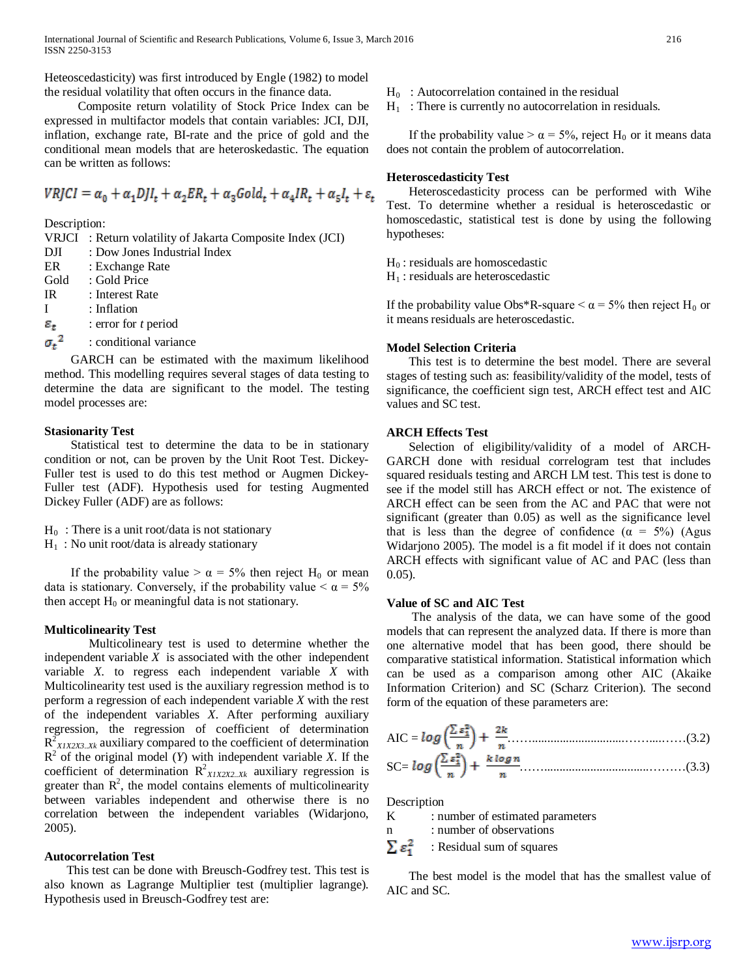Heteoscedasticity) was first introduced by Engle (1982) to model the residual volatility that often occurs in the finance data.

Composite return volatility of Stock Price Index can be expressed in multifactor models that contain variables: JCI, DJI, inflation, exchange rate, BI-rate and the price of gold and the conditional mean models that are heteroskedastic. The equation can be written as follows:

$$
VRJCI = \alpha_0 + \alpha_1 DJI_t + \alpha_2 ER_t + \alpha_3 Gold_t + \alpha_4 IR_t + \alpha_5 I_t + \varepsilon_t
$$

Description:

VRJCI : Return volatility of Jakarta Composite Index (JCI)

- DJI : Dow Jones Industrial Index
- ER : Exchange Rate
- Gold : Gold Price
- IR : Interest Rate
- I : Inflation
- $\varepsilon_{t}$ : error for *t* period
- ${\sigma_{\rm t}}^2$ : conditional variance

GARCH can be estimated with the maximum likelihood method. This modelling requires several stages of data testing to determine the data are significant to the model. The testing model processes are:

## **Stasionarity Test**

Statistical test to determine the data to be in stationary condition or not, can be proven by the Unit Root Test. Dickey-Fuller test is used to do this test method or Augmen Dickey-Fuller test (ADF). Hypothesis used for testing Augmented Dickey Fuller (ADF) are as follows:

- $H_0$ : There is a unit root/data is not stationary
- $H_1$ : No unit root/data is already stationary

If the probability value  $> \alpha = 5\%$  then reject H<sub>0</sub> or mean data is stationary. Conversely, if the probability value  $\lt \alpha = 5\%$ then accept  $H_0$  or meaningful data is not stationary.

#### **Multicolinearity Test**

Multicolineary test is used to determine whether the independent variable  $X$  is associated with the other independent variable *X.* to regress each independent variable *X* with Multicolinearity test used is the auxiliary regression method is to perform a regression of each independent variable *X* with the rest of the independent variables *X*. After performing auxiliary regression, the regression of coefficient of determination  $R_{XXIX2X3..Xk}^2$  auxiliary compared to the coefficient of determination  $R^2$  of the original model (*Y*) with independent variable *X*. If the coefficient of determination  $R^2_{XIX2X2..Xk}$  auxiliary regression is greater than  $R^2$ , the model contains elements of multicolinearity between variables independent and otherwise there is no correlation between the independent variables (Widarjono, 2005).

#### **Autocorrelation Test**

This test can be done with Breusch-Godfrey test. This test is also known as Lagrange Multiplier test (multiplier lagrange). Hypothesis used in Breusch-Godfrey test are:

 $H_0$ : Autocorrelation contained in the residual

 $H_1$ : There is currently no autocorrelation in residuals.

If the probability value  $> \alpha = 5\%$ , reject H<sub>0</sub> or it means data does not contain the problem of autocorrelation.

## **Heteroscedasticity Test**

Heteroscedasticity process can be performed with Wihe Test. To determine whether a residual is heteroscedastic or homoscedastic, statistical test is done by using the following hypotheses:

 $H_0$ : residuals are homoscedastic

 $H_1$ : residuals are heteroscedastic

If the probability value Obs\*R-square  $\alpha$  = 5% then reject H<sub>0</sub> or it means residuals are heteroscedastic.

## **Model Selection Criteria**

This test is to determine the best model. There are several stages of testing such as: feasibility/validity of the model, tests of significance, the coefficient sign test, ARCH effect test and AIC values and SC test.

#### **ARCH Effects Test**

Selection of eligibility/validity of a model of ARCH-GARCH done with residual correlogram test that includes squared residuals testing and ARCH LM test. This test is done to see if the model still has ARCH effect or not. The existence of ARCH effect can be seen from the AC and PAC that were not significant (greater than 0.05) as well as the significance level that is less than the degree of confidence ( $\alpha = 5\%$ ) (Agus Widarjono 2005). The model is a fit model if it does not contain ARCH effects with significant value of AC and PAC (less than 0.05).

# **Value of SC and AIC Test**

The analysis of the data, we can have some of the good models that can represent the analyzed data. If there is more than one alternative model that has been good, there should be comparative statistical information. Statistical information which can be used as a comparison among other AIC (Akaike Information Criterion) and SC (Scharz Criterion). The second form of the equation of these parameters are:

AIC = ……..............................……....……(3.2) SC= ……..................................………(3.3)

Description

K : number of estimated parameters

n : number of observations

 $\Sigma$   $\varepsilon$ <sup>2</sup> : Residual sum of squares

The best model is the model that has the smallest value of AIC and SC.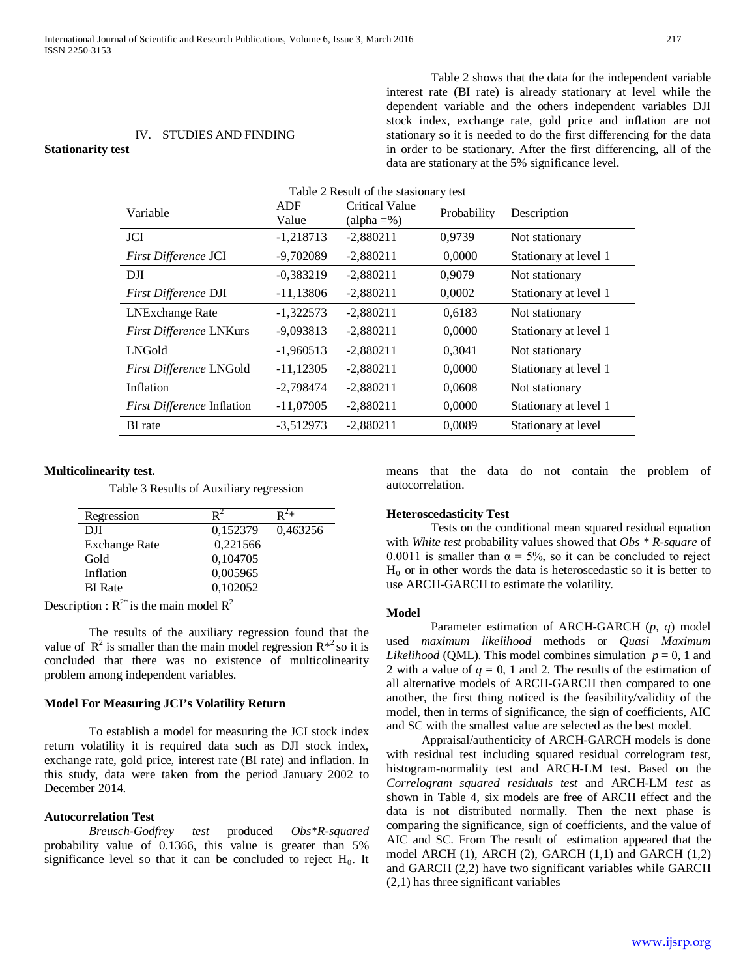IV. STUDIES AND FINDING

Table 2 shows that the data for the independent variable interest rate (BI rate) is already stationary at level while the dependent variable and the others independent variables DJI stock index, exchange rate, gold price and inflation are not stationary so it is needed to do the first differencing for the data in order to be stationary. After the first differencing, all of the data are stationary at the 5% significance level.

# Table 2 Result of the stasionary test Variable ADF Value Critical Value (alpha  $=$ %) Probability Description JCI -1,218713 -2,880211 0,9739 Not stationary *First Difference* JCI -9,702089 -2,880211 0,0000 Stationary at level 1 DJI  $-0,383219$   $-2,880211$   $0,9079$  Not stationary *First Difference* DJI -11,13806 -2,880211 0,0002 Stationary at level 1 LNExchange Rate -1,322573 -2,880211 0,6183 Not stationary *First Difference* LNKurs -9,093813 -2,880211 0,0000 Stationary at level 1 LNGold -1,960513 -2,880211 0,3041 Not stationary *First Difference* LNGold -11,12305 -2,880211 0,0000 Stationary at level 1 Inflation -2,798474 -2,880211 0,0608 Not stationary *First Difference* Inflation -11,07905 -2,880211 0,0000 Stationary at level 1 BI rate -3,512973 -2,880211 0,0089 Stationary at level

## **Multicolinearity test.**

**Stationarity test**

Table 3 Results of Auxiliary regression

| Regression           | $\mathbf{R}^2$ | $\mathbf{D}^2*$ |
|----------------------|----------------|-----------------|
| DJI                  | 0,152379       | 0,463256        |
| <b>Exchange Rate</b> | 0.221566       |                 |
| Gold                 | 0,104705       |                 |
| Inflation            | 0,005965       |                 |
| <b>BI</b> Rate       | 0,102052       |                 |
|                      |                |                 |

Description :  $R^{2*}$  is the main model  $R^2$ 

The results of the auxiliary regression found that the value of  $\mathbb{R}^2$  is smaller than the main model regression  $\mathbb{R}^{*2}$  so it is concluded that there was no existence of multicolinearity problem among independent variables.

#### **Model For Measuring JCI's Volatility Return**

To establish a model for measuring the JCI stock index return volatility it is required data such as DJI stock index, exchange rate, gold price, interest rate (BI rate) and inflation. In this study, data were taken from the period January 2002 to December 2014.

#### **Autocorrelation Test**

*Breusch-Godfrey test* produced *Obs\*R-squared* probability value of 0.1366, this value is greater than 5% significance level so that it can be concluded to reject  $H_0$ . It means that the data do not contain the problem of autocorrelation.

#### **Heteroscedasticity Test**

Tests on the conditional mean squared residual equation with *White test* probability values showed that *Obs \* R-square* of 0.0011 is smaller than  $\alpha = 5\%$ , so it can be concluded to reject  $H<sub>0</sub>$  or in other words the data is heteroscedastic so it is better to use ARCH-GARCH to estimate the volatility.

#### **Model**

Parameter estimation of ARCH-GARCH (*p*, *q*) model used *maximum likelihood* methods or *Quasi Maximum Likelihood* (QML). This model combines simulation  $p = 0$ , 1 and 2 with a value of  $q = 0$ , 1 and 2. The results of the estimation of all alternative models of ARCH-GARCH then compared to one another, the first thing noticed is the feasibility/validity of the model, then in terms of significance, the sign of coefficients, AIC and SC with the smallest value are selected as the best model.

Appraisal/authenticity of ARCH-GARCH models is done with residual test including squared residual correlogram test, histogram-normality test and ARCH-LM test. Based on the *Correlogram squared residuals test* and ARCH-LM *test* as shown in Table 4, six models are free of ARCH effect and the data is not distributed normally. Then the next phase is comparing the significance, sign of coefficients, and the value of AIC and SC. From The result of estimation appeared that the model ARCH  $(1)$ , ARCH $(2)$ , GARCH $(1,1)$  and GARCH $(1,2)$ and GARCH (2,2) have two significant variables while GARCH (2,1) has three significant variables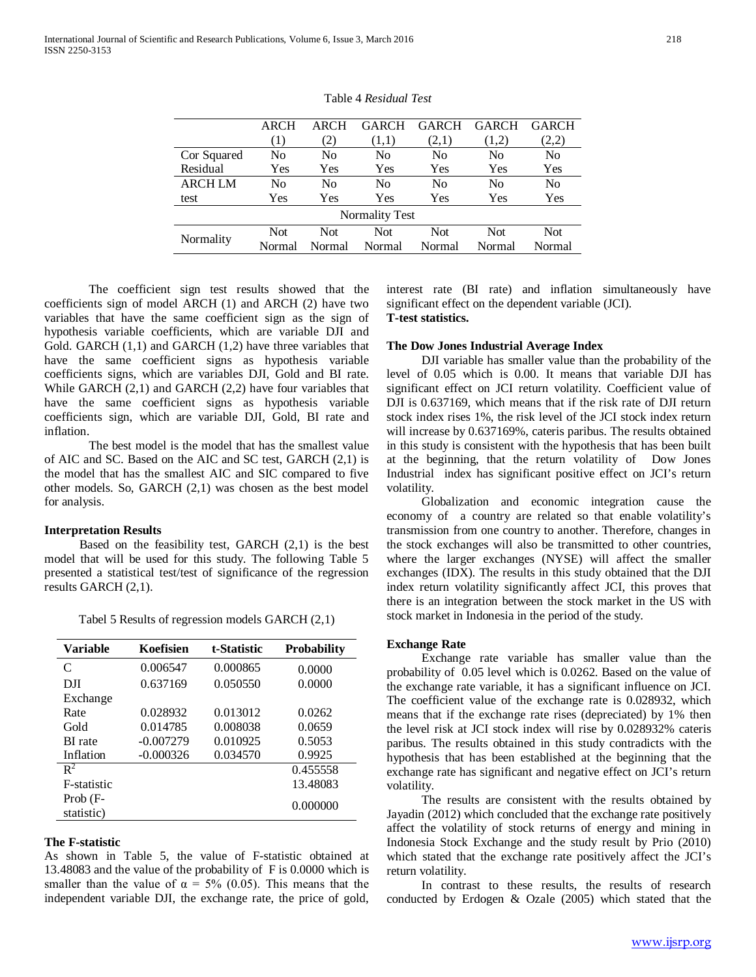|                | <b>ARCH</b>    | ARCH   | <b>GARCH</b>          | <b>GARCH</b>   | <b>GARCH</b>   | <b>GARCH</b> |
|----------------|----------------|--------|-----------------------|----------------|----------------|--------------|
|                | (1)            | (2)    | (1,1)                 | (2,1)          | (1,2)          | (2,2)        |
| Cor Squared    | N <sub>0</sub> | No     | N <sub>0</sub>        | N <sub>0</sub> | N <sub>0</sub> | No           |
| Residual       | Yes            | Yes    | Yes                   | Yes            | Yes            | Yes          |
| <b>ARCH LM</b> | No             | No     | N <sub>0</sub>        | N <sub>0</sub> | N <sub>0</sub> | No           |
| test           | Yes            | Yes    | Yes                   | Yes            | Yes            | Yes          |
|                |                |        | <b>Normality Test</b> |                |                |              |
| Normality      | <b>Not</b>     | Not    | <b>Not</b>            | <b>Not</b>     | <b>Not</b>     | Not.         |
|                | Normal         | Normal | Normal                | Normal         | Normal         | Normal       |

Table 4 *Residual Test*

The coefficient sign test results showed that the coefficients sign of model ARCH (1) and ARCH (2) have two variables that have the same coefficient sign as the sign of hypothesis variable coefficients, which are variable DJI and Gold. GARCH  $(1,1)$  and GARCH  $(1,2)$  have three variables that have the same coefficient signs as hypothesis variable coefficients signs, which are variables DJI, Gold and BI rate. While GARCH (2,1) and GARCH (2,2) have four variables that have the same coefficient signs as hypothesis variable coefficients sign, which are variable DJI, Gold, BI rate and inflation.

The best model is the model that has the smallest value of AIC and SC. Based on the AIC and SC test, GARCH (2,1) is the model that has the smallest AIC and SIC compared to five other models. So, GARCH (2,1) was chosen as the best model for analysis.

#### **Interpretation Results**

Based on the feasibility test, GARCH  $(2,1)$  is the best model that will be used for this study. The following Table 5 presented a statistical test/test of significance of the regression results GARCH (2,1).

Tabel 5 Results of regression models GARCH (2,1)

| <b>Variable</b>        | Koefisien   | t-Statistic | <b>Probability</b> |
|------------------------|-------------|-------------|--------------------|
| C                      | 0.006547    | 0.000865    | 0.0000             |
| DII                    | 0.637169    | 0.050550    | 0.0000             |
| Exchange               |             |             |                    |
| Rate                   | 0.028932    | 0.013012    | 0.0262             |
| Gold                   | 0.014785    | 0.008038    | 0.0659             |
| <b>BI</b> rate         | $-0.007279$ | 0.010925    | 0.5053             |
| Inflation              | $-0.000326$ | 0.034570    | 0.9925             |
| $\mathbb{R}^2$         |             |             | 0.455558           |
| <b>F</b> -statistic    |             |             | 13.48083           |
| Prob (F-<br>statistic) |             |             | 0.000000           |

#### **The F-statistic**

As shown in Table 5, the value of F-statistic obtained at 13.48083 and the value of the probability of F is 0.0000 which is smaller than the value of  $\alpha = 5\%$  (0.05). This means that the independent variable DJI, the exchange rate, the price of gold,

interest rate (BI rate) and inflation simultaneously have significant effect on the dependent variable (JCI). **T-test statistics.**

#### **The Dow Jones Industrial Average Index**

DJI variable has smaller value than the probability of the level of 0.05 which is 0.00. It means that variable DJI has significant effect on JCI return volatility. Coefficient value of DJI is 0.637169, which means that if the risk rate of DJI return stock index rises 1%, the risk level of the JCI stock index return will increase by 0.637169%, cateris paribus. The results obtained in this study is consistent with the hypothesis that has been built at the beginning, that the return volatility of Dow Jones Industrial index has significant positive effect on JCI's return volatility.

Globalization and economic integration cause the economy of a country are related so that enable volatility's transmission from one country to another. Therefore, changes in the stock exchanges will also be transmitted to other countries, where the larger exchanges (NYSE) will affect the smaller exchanges (IDX). The results in this study obtained that the DJI index return volatility significantly affect JCI, this proves that there is an integration between the stock market in the US with stock market in Indonesia in the period of the study.

#### **Exchange Rate**

Exchange rate variable has smaller value than the probability of 0.05 level which is 0.0262. Based on the value of the exchange rate variable, it has a significant influence on JCI. The coefficient value of the exchange rate is 0.028932, which means that if the exchange rate rises (depreciated) by 1% then the level risk at JCI stock index will rise by 0.028932% cateris paribus. The results obtained in this study contradicts with the hypothesis that has been established at the beginning that the exchange rate has significant and negative effect on JCI's return volatility.

The results are consistent with the results obtained by Jayadin (2012) which concluded that the exchange rate positively affect the volatility of stock returns of energy and mining in Indonesia Stock Exchange and the study result by Prio (2010) which stated that the exchange rate positively affect the JCI's return volatility.

In contrast to these results, the results of research conducted by Erdogen & Ozale (2005) which stated that the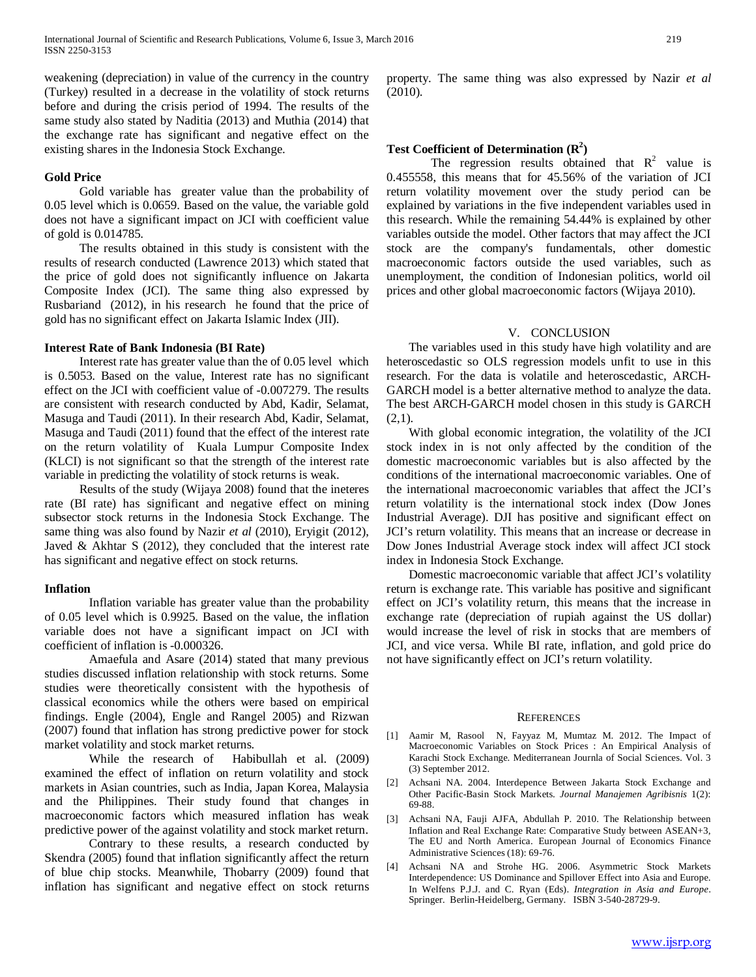weakening (depreciation) in value of the currency in the country (Turkey) resulted in a decrease in the volatility of stock returns before and during the crisis period of 1994. The results of the same study also stated by Naditia (2013) and Muthia (2014) that the exchange rate has significant and negative effect on the existing shares in the Indonesia Stock Exchange.

## **Gold Price**

Gold variable has greater value than the probability of 0.05 level which is 0.0659. Based on the value, the variable gold does not have a significant impact on JCI with coefficient value of gold is 0.014785.

The results obtained in this study is consistent with the results of research conducted (Lawrence 2013) which stated that the price of gold does not significantly influence on Jakarta Composite Index (JCI). The same thing also expressed by Rusbariand (2012), in his research he found that the price of gold has no significant effect on Jakarta Islamic Index (JII).

#### **Interest Rate of Bank Indonesia (BI Rate)**

Interest rate has greater value than the of 0.05 level which is 0.5053. Based on the value, Interest rate has no significant effect on the JCI with coefficient value of -0.007279. The results are consistent with research conducted by Abd, Kadir, Selamat, Masuga and Taudi (2011). In their research Abd, Kadir, Selamat, Masuga and Taudi (2011) found that the effect of the interest rate on the return volatility of Kuala Lumpur Composite Index (KLCI) is not significant so that the strength of the interest rate variable in predicting the volatility of stock returns is weak.

Results of the study (Wijaya 2008) found that the ineteres rate (BI rate) has significant and negative effect on mining subsector stock returns in the Indonesia Stock Exchange. The same thing was also found by Nazir *et al* (2010), Eryigit (2012), Javed & Akhtar S (2012), they concluded that the interest rate has significant and negative effect on stock returns.

# **Inflation**

Inflation variable has greater value than the probability of 0.05 level which is 0.9925. Based on the value, the inflation variable does not have a significant impact on JCI with coefficient of inflation is -0.000326.

Amaefula and Asare (2014) stated that many previous studies discussed inflation relationship with stock returns. Some studies were theoretically consistent with the hypothesis of classical economics while the others were based on empirical findings. Engle (2004), Engle and Rangel 2005) and Rizwan (2007) found that inflation has strong predictive power for stock market volatility and stock market returns.

While the research of Habibullah et al. (2009) examined the effect of inflation on return volatility and stock markets in Asian countries, such as India, Japan Korea, Malaysia and the Philippines. Their study found that changes in macroeconomic factors which measured inflation has weak predictive power of the against volatility and stock market return.

Contrary to these results, a research conducted by Skendra (2005) found that inflation significantly affect the return of blue chip stocks. Meanwhile, Thobarry (2009) found that inflation has significant and negative effect on stock returns property. The same thing was also expressed by Nazir *et al* (2010).

# Test Coefficient of Determination ( $\mathbb{R}^2$ )

The regression results obtained that  $R^2$  value is 0.455558, this means that for 45.56% of the variation of JCI return volatility movement over the study period can be explained by variations in the five independent variables used in this research. While the remaining 54.44% is explained by other variables outside the model. Other factors that may affect the JCI stock are the company's fundamentals, other domestic macroeconomic factors outside the used variables, such as unemployment, the condition of Indonesian politics, world oil prices and other global macroeconomic factors (Wijaya 2010).

# V. CONCLUSION

The variables used in this study have high volatility and are heteroscedastic so OLS regression models unfit to use in this research. For the data is volatile and heteroscedastic, ARCH-GARCH model is a better alternative method to analyze the data. The best ARCH-GARCH model chosen in this study is GARCH  $(2.1)$ .

With global economic integration, the volatility of the JCI stock index in is not only affected by the condition of the domestic macroeconomic variables but is also affected by the conditions of the international macroeconomic variables. One of the international macroeconomic variables that affect the JCI's return volatility is the international stock index (Dow Jones Industrial Average). DJI has positive and significant effect on JCI's return volatility. This means that an increase or decrease in Dow Jones Industrial Average stock index will affect JCI stock index in Indonesia Stock Exchange.

Domestic macroeconomic variable that affect JCI's volatility return is exchange rate. This variable has positive and significant effect on JCI's volatility return, this means that the increase in exchange rate (depreciation of rupiah against the US dollar) would increase the level of risk in stocks that are members of JCI, and vice versa. While BI rate, inflation, and gold price do not have significantly effect on JCI's return volatility.

#### **REFERENCES**

- [1] Aamir M, Rasool N, Fayyaz M, Mumtaz M. 2012. The Impact of Macroeconomic Variables on Stock Prices : An Empirical Analysis of Karachi Stock Exchange. Mediterranean Journla of Social Sciences. Vol. 3 (3) September 2012.
- [2] Achsani NA. 2004. Interdepence Between Jakarta Stock Exchange and Other Pacific-Basin Stock Markets. *Journal Manajemen Agribisnis* 1(2): 69-88.
- [3] Achsani NA, Fauji AJFA, Abdullah P. 2010. The Relationship between Inflation and Real Exchange Rate: Comparative Study between ASEAN+3, The EU and North America. European Journal of Economics Finance Administrative Sciences (18): 69-76.
- [4] Achsani NA and Strohe HG. 2006. Asymmetric Stock Markets Interdependence: US Dominance and Spillover Effect into Asia and Europe. In Welfens P.J.J. and C. Ryan (Eds). *Integration in Asia and Europe*. Springer. Berlin-Heidelberg, Germany. ISBN 3-540-28729-9.